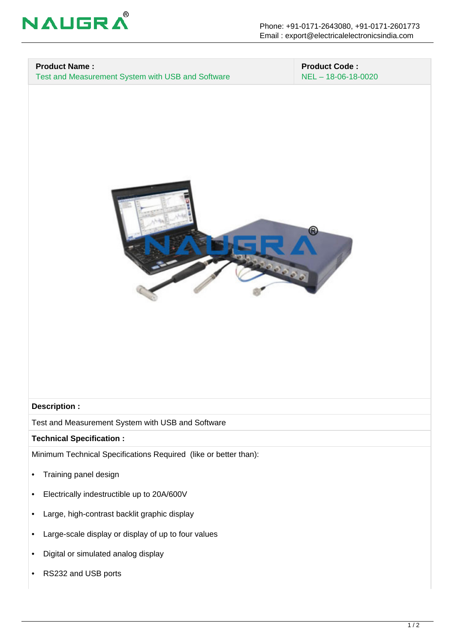

### **Product Name :**

Test and Measurement System with USB and Software

 **Product Code :** NEL – 18-06-18-0020



#### **Description :**

Test and Measurement System with USB and Software

#### **Technical Specification :**

Minimum Technical Specifications Required (like or better than):

- Training panel design
- Electrically indestructible up to 20A/600V
- Large, high-contrast backlit graphic display
- Large-scale display or display of up to four values
- Digital or simulated analog display
- RS232 and USB ports